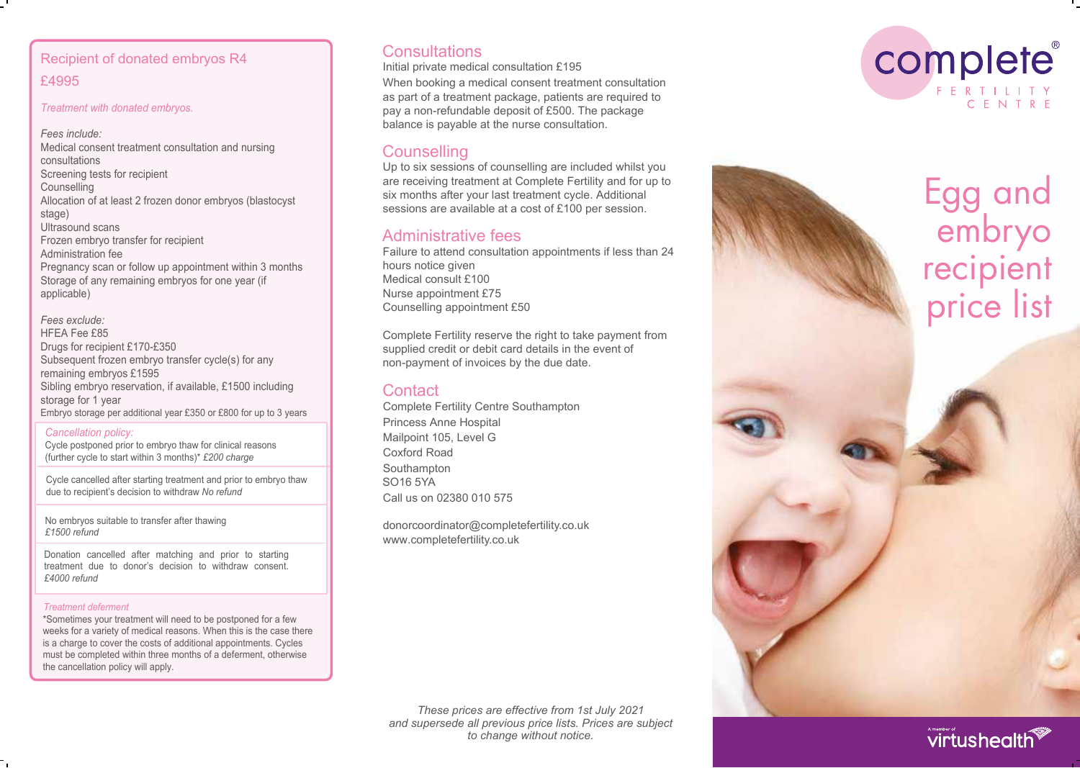# Recipient of donated embryos R4 £4995

*Treatment with donated embryos.*

*Fees include:* Medical consent treatment consultation and nursing consultations Screening tests for recipient **Counselling** Allocation of at least 2 frozen donor embryos (blastocyst stage) Ultrasound scans Frozen embryo transfer for recipient Administration fee Pregnancy scan or follow up appointment within 3 months Storage of any remaining embryos for one year (if applicable)

#### *Fees exclude:* HFEA Fee £8 5 Drugs for recipient £170-£350 Subsequent frozen embryo transfer cycle(s) for any remaining embryos £1595 Sibling embryo reservation, if available, £1500 including storage for 1 year Embryo storage per additional year £350 or £800 for up to 3 years

*Cancellation policy:*

Cycle postponed prior to embryo thaw for clinical reasons (further cycle to start within 3 months)\* *£200 charge*

Cycle cancelled after starting treatment and prior to embryo thaw due to recipient's decision to withdraw *No refund*

No embryos suitable to transfer after thawing *£1500 refund*

Donation cancelled after matching and prior to starting treatment due to donor's decision to withdraw consent. *£4000 refund*

## *Treatment deferment*

\*Sometimes your treatment will need to be postponed for a few weeks for a variety of medical reasons. When this is the case there is a charge to cover the costs of additional appointments. Cycles must be completed within three months of a deferment, otherwise the cancellation policy will apply.

# **Consultations**

Initial private medical consultation £195

When booking a medical consent treatment consultation as part of a treatment package, patients are required to pay a non-refundable deposit of £500. The package balance is payable at the nurse consultation.

# **Counselling**

Up to six sessions of counselling are included whilst you are receiving treatment at Complete Fertility and for up to six months after your last treatment cycle. Additional sessions are available at a cost of £100 per session.

# Administrative fees

Failure to attend consultation appointments if less than 24 hours notice given Medical consult £100 Nurse appointment £75 Counselling appointment £50

Complete Fertility reserve the right to take payment from supplied credit or debit card details in the event of non-payment of invoices by the due date.

# **Contact**

Complete Fertility Centre Southampton Princess Anne Hospital Mailpoint 105, Level G Coxford Road Southampton SO16 5YA Call us on 02380 010 575

donorcoordinator@completefertility.co.uk www.completefertility.co.uk







# virtushealth